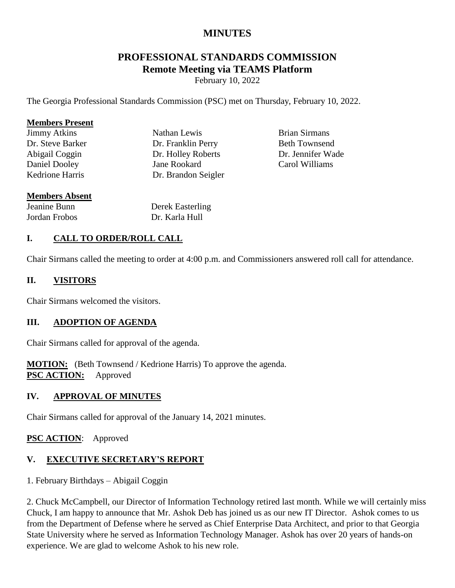# **MINUTES**

# **PROFESSIONAL STANDARDS COMMISSION Remote Meeting via TEAMS Platform**

February 10, 2022

The Georgia Professional Standards Commission (PSC) met on Thursday, February 10, 2022.

#### **Members Present**

Jimmy Atkins Dr. Steve Barker Abigail Coggin Daniel Dooley Kedrione Harris

Nathan Lewis Dr. Franklin Perry Dr. Holley Roberts Jane Rookard Dr. Brandon Seigler

Brian Sirmans Beth Townsend Dr. Jennifer Wade Carol Williams

#### **Members Absent**

Jeanine Bunn Jordan Frobos Derek Easterling Dr. Karla Hull

### **I. CALL TO ORDER/ROLL CALL**

Chair Sirmans called the meeting to order at 4:00 p.m. and Commissioners answered roll call for attendance.

#### **II. VISITORS**

Chair Sirmans welcomed the visitors.

#### **III. ADOPTION OF AGENDA**

Chair Sirmans called for approval of the agenda.

**MOTION:** (Beth Townsend / Kedrione Harris) To approve the agenda. **PSC ACTION:** Approved

#### **IV. APPROVAL OF MINUTES**

Chair Sirmans called for approval of the January 14, 2021 minutes.

#### **PSC ACTION**: Approved

# **V. EXECUTIVE SECRETARY'S REPORT**

1. February Birthdays – Abigail Coggin

2. Chuck McCampbell, our Director of Information Technology retired last month. While we will certainly miss Chuck, I am happy to announce that Mr. Ashok Deb has joined us as our new IT Director. Ashok comes to us from the Department of Defense where he served as Chief Enterprise Data Architect, and prior to that Georgia State University where he served as Information Technology Manager. Ashok has over 20 years of hands-on experience. We are glad to welcome Ashok to his new role.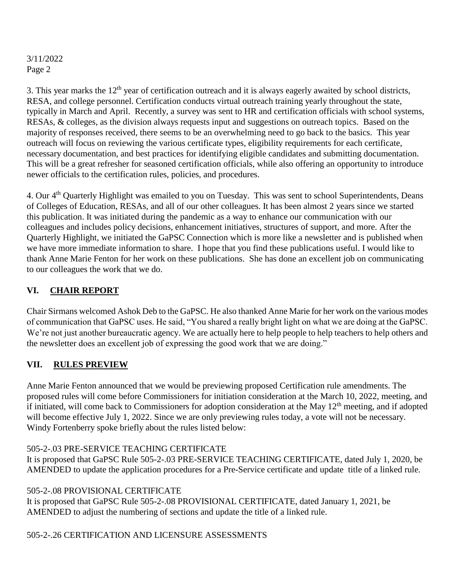3. This year marks the  $12<sup>th</sup>$  year of certification outreach and it is always eagerly awaited by school districts, RESA, and college personnel. Certification conducts virtual outreach training yearly throughout the state, typically in March and April. Recently, a survey was sent to HR and certification officials with school systems, RESAs, & colleges, as the division always requests input and suggestions on outreach topics. Based on the majority of responses received, there seems to be an overwhelming need to go back to the basics. This year outreach will focus on reviewing the various certificate types, eligibility requirements for each certificate, necessary documentation, and best practices for identifying eligible candidates and submitting documentation. This will be a great refresher for seasoned certification officials, while also offering an opportunity to introduce newer officials to the certification rules, policies, and procedures.

4. Our 4th Quarterly Highlight was emailed to you on Tuesday. This was sent to school Superintendents, Deans of Colleges of Education, RESAs, and all of our other colleagues. It has been almost 2 years since we started this publication. It was initiated during the pandemic as a way to enhance our communication with our colleagues and includes policy decisions, enhancement initiatives, structures of support, and more. After the Quarterly Highlight, we initiated the GaPSC Connection which is more like a newsletter and is published when we have more immediate information to share. I hope that you find these publications useful. I would like to thank Anne Marie Fenton for her work on these publications. She has done an excellent job on communicating to our colleagues the work that we do.

# **VI. CHAIR REPORT**

Chair Sirmans welcomed Ashok Deb to the GaPSC. He also thanked Anne Marie for her work on the various modes of communication that GaPSC uses. He said, "You shared a really bright light on what we are doing at the GaPSC. We're not just another bureaucratic agency. We are actually here to help people to help teachers to help others and the newsletter does an excellent job of expressing the good work that we are doing."

# **VII. RULES PREVIEW**

Anne Marie Fenton announced that we would be previewing proposed Certification rule amendments. The proposed rules will come before Commissioners for initiation consideration at the March 10, 2022, meeting, and if initiated, will come back to Commissioners for adoption consideration at the May  $12<sup>th</sup>$  meeting, and if adopted will become effective July 1, 2022. Since we are only previewing rules today, a vote will not be necessary. Windy Fortenberry spoke briefly about the rules listed below:

#### 505-2-.03 PRE-SERVICE TEACHING CERTIFICATE

It is proposed that GaPSC Rule 505-2-.03 PRE-SERVICE TEACHING CERTIFICATE, dated July 1, 2020, be AMENDED to update the application procedures for a Pre-Service certificate and update title of a linked rule.

#### 505-2-.08 PROVISIONAL CERTIFICATE

It is proposed that GaPSC Rule 505-2-.08 PROVISIONAL CERTIFICATE, dated January 1, 2021, be AMENDED to adjust the numbering of sections and update the title of a linked rule.

#### 505-2-.26 CERTIFICATION AND LICENSURE ASSESSMENTS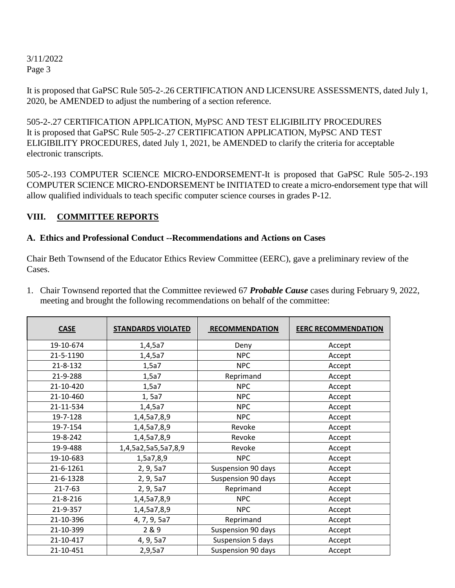It is proposed that GaPSC Rule 505-2-.26 CERTIFICATION AND LICENSURE ASSESSMENTS, dated July 1, 2020, be AMENDED to adjust the numbering of a section reference.

505-2-.27 CERTIFICATION APPLICATION, MyPSC AND TEST ELIGIBILITY PROCEDURES It is proposed that GaPSC Rule 505-2-.27 CERTIFICATION APPLICATION, MyPSC AND TEST ELIGIBILITY PROCEDURES, dated July 1, 2021, be AMENDED to clarify the criteria for acceptable electronic transcripts.

505-2-.193 COMPUTER SCIENCE MICRO-ENDORSEMENT-It is proposed that GaPSC Rule 505-2-.193 COMPUTER SCIENCE MICRO-ENDORSEMENT be INITIATED to create a micro-endorsement type that will allow qualified individuals to teach specific computer science courses in grades P-12.

# **VIII. COMMITTEE REPORTS**

### **A. Ethics and Professional Conduct --Recommendations and Actions on Cases**

Chair Beth Townsend of the Educator Ethics Review Committee (EERC), gave a preliminary review of the Cases.

| 1. Chair Townsend reported that the Committee reviewed 67 Probable Cause cases during February 9, 2022, |
|---------------------------------------------------------------------------------------------------------|
| meeting and brought the following recommendations on behalf of the committee:                           |
|                                                                                                         |

| <b>CASE</b>    | <b>STANDARDS VIOLATED</b> | <b>RECOMMENDATION</b> | <b>EERC RECOMMENDATION</b> |  |
|----------------|---------------------------|-----------------------|----------------------------|--|
| 19-10-674      | 1,4,5a7                   | Deny                  | Accept                     |  |
| 21-5-1190      | 1,4,5a7                   | <b>NPC</b>            | Accept                     |  |
| 21-8-132       | 1,5a7                     | <b>NPC</b>            | Accept                     |  |
| 21-9-288       | 1,5a7                     | Reprimand             | Accept                     |  |
| 21-10-420      | 1,5a7                     | <b>NPC</b>            | Accept                     |  |
| 21-10-460      | 1, 5a7                    | <b>NPC</b>            | Accept                     |  |
| 21-11-534      | 1,4,5a7                   | <b>NPC</b>            | Accept                     |  |
| 19-7-128       | 1,4,5a7,8,9               | <b>NPC</b>            | Accept                     |  |
| 19-7-154       | 1,4,5a7,8,9               |                       | Accept                     |  |
| 19-8-242       | 1,4,5a7,8,9               |                       | Accept                     |  |
| 19-9-488       | 1,4,5a2,5a5,5a7,8,9       | Revoke                | Accept                     |  |
| 19-10-683      | 1,5a7,8,9                 | <b>NPC</b>            | Accept                     |  |
| 21-6-1261      | 2, 9, 5a7                 | Suspension 90 days    | Accept                     |  |
| 21-6-1328      | 2, 9, 5a7                 | Suspension 90 days    | Accept                     |  |
| $21 - 7 - 63$  | 2, 9, 5a7                 | Reprimand             | Accept                     |  |
| $21 - 8 - 216$ | 1,4,5a7,8,9               | <b>NPC</b>            | Accept                     |  |
| 21-9-357       | 1,4,5a7,8,9               | <b>NPC</b>            | Accept                     |  |
| 21-10-396      | 4, 7, 9, 5a7              | Reprimand             | Accept                     |  |
| 21-10-399      | 2 & 9                     | Suspension 90 days    | Accept                     |  |
| 21-10-417      | 4, 9, 5a7                 | Suspension 5 days     | Accept                     |  |
| 21-10-451      | 2,9,5a7                   | Suspension 90 days    | Accept                     |  |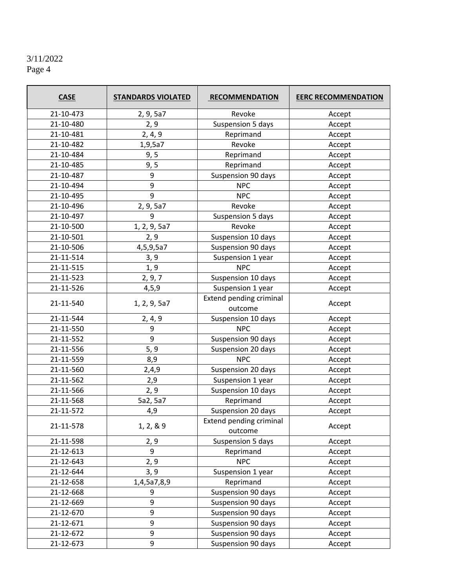| <b>CASE</b>    | <b>STANDARDS VIOLATED</b> | <b>RECOMMENDATION</b>              | <b>EERC RECOMMENDATION</b> |
|----------------|---------------------------|------------------------------------|----------------------------|
| 21-10-473      | 2, 9, 5a7                 | Revoke                             | Accept                     |
| 21-10-480      | 2, 9                      | <b>Suspension 5 days</b>           | Accept                     |
| 21-10-481      | 2, 4, 9                   | Reprimand                          | Accept                     |
| 21-10-482      | 1,9,5a7                   | Revoke                             | Accept                     |
| 21-10-484      | 9, 5                      | Reprimand                          | Accept                     |
| 21-10-485      | 9, 5                      | Reprimand                          | Accept                     |
| 21-10-487      | 9                         | Suspension 90 days                 | Accept                     |
| 21-10-494      | 9                         | <b>NPC</b>                         | Accept                     |
| 21-10-495      | 9                         | <b>NPC</b>                         | Accept                     |
| 21-10-496      | 2, 9, 5a7                 | Revoke                             | Accept                     |
| 21-10-497      | 9                         | Suspension 5 days                  | Accept                     |
| 21-10-500      | 1, 2, 9, 5a7              | Revoke                             | Accept                     |
| 21-10-501      | 2, 9                      | Suspension 10 days                 | Accept                     |
| 21-10-506      | 4,5,9,5a7                 | Suspension 90 days                 | Accept                     |
| 21-11-514      | 3, 9                      | Suspension 1 year                  | Accept                     |
| 21-11-515      | 1, 9                      | <b>NPC</b>                         | Accept                     |
| 21-11-523      | 2, 9, 7                   | Suspension 10 days                 | Accept                     |
| 21-11-526      | 4, 5, 9                   | Suspension 1 year                  | Accept                     |
| 21-11-540      | 1, 2, 9, 5a7              | Extend pending criminal<br>outcome | Accept                     |
| 21-11-544      | 2, 4, 9                   |                                    | Accept                     |
| 21-11-550      | 9                         | <b>NPC</b>                         | Accept                     |
| 21-11-552      | 9                         | Suspension 90 days                 | Accept                     |
| 21-11-556      | 5, 9                      | Suspension 20 days                 | Accept                     |
| 21-11-559      | 8,9                       | <b>NPC</b>                         | Accept                     |
| 21-11-560      | 2,4,9                     | Suspension 20 days                 | Accept                     |
| 21-11-562      | 2,9                       | Suspension 1 year                  | Accept                     |
| 21-11-566      | 2, 9                      | Suspension 10 days                 | Accept                     |
| 21-11-568      | 5a2, 5a7                  | Reprimand                          | Accept                     |
| 21-11-572      | 4,9                       | Suspension 20 days                 | Accept                     |
| 21-11-578      | 1, 2, 8.9                 | Extend pending criminal<br>outcome | Accept                     |
| 21-11-598      | 2, 9                      | Suspension 5 days                  | Accept                     |
| 21-12-613      | 9                         | Reprimand                          | Accept                     |
| 21-12-643      | 2, 9                      | <b>NPC</b>                         | Accept                     |
| 21-12-644      | 3, 9                      | Suspension 1 year                  | Accept                     |
| 21-12-658      | 1,4,5a7,8,9               | Reprimand                          | Accept                     |
| 21-12-668      | 9                         | Suspension 90 days                 | Accept                     |
| 21-12-669      | 9                         | Suspension 90 days                 | Accept                     |
| 21-12-670      | 9                         | Suspension 90 days<br>Accept       |                            |
| 21-12-671      | 9                         | Suspension 90 days                 | Accept                     |
| 21-12-672      | 9                         | Suspension 90 days                 | Accept                     |
| 9<br>21-12-673 |                           | Suspension 90 days                 | Accept                     |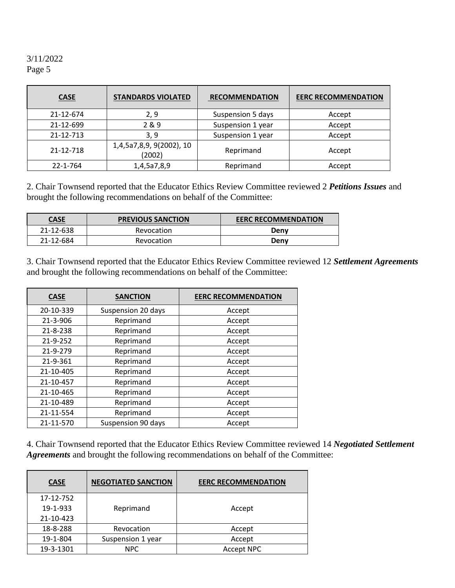| <b>CASE</b> | <b>STANDARDS VIOLATED</b>          | <b>RECOMMENDATION</b> | <b>EERC RECOMMENDATION</b> |
|-------------|------------------------------------|-----------------------|----------------------------|
| 21-12-674   | 2, 9                               | Suspension 5 days     | Accept                     |
| 21-12-699   | 2&9                                | Suspension 1 year     | Accept                     |
| 21-12-713   | 3, 9                               | Suspension 1 year     | Accept                     |
| 21-12-718   | 1,4,5a7,8,9, 9(2002), 10<br>(2002) | Reprimand             | Accept                     |
| 22-1-764    | 1,4,5a7,8,9                        | Reprimand             | Accept                     |

2. Chair Townsend reported that the Educator Ethics Review Committee reviewed 2 *Petitions Issues* and brought the following recommendations on behalf of the Committee:

| <u>CASE</u> | <b>PREVIOUS SANCTION</b> | <b>EERC RECOMMENDATION</b> |
|-------------|--------------------------|----------------------------|
| 21-12-638   | Revocation               | Denv                       |
| 21-12-684   | Revocation               | Denv                       |

3. Chair Townsend reported that the Educator Ethics Review Committee reviewed 12 *Settlement Agreements* and brought the following recommendations on behalf of the Committee:

| <b>CASE</b>                     | <b>SANCTION</b>    | <b>EERC RECOMMENDATION</b> |  |  |
|---------------------------------|--------------------|----------------------------|--|--|
| 20-10-339                       | Suspension 20 days | Accept                     |  |  |
| 21-3-906                        | Reprimand          | Accept                     |  |  |
| 21-8-238                        | Reprimand          | Accept                     |  |  |
| 21-9-252                        | Reprimand          | Accept                     |  |  |
| 21-9-279<br>Reprimand           |                    | Accept                     |  |  |
| 21-9-361<br>Reprimand           |                    | Accept                     |  |  |
| 21-10-405                       | Reprimand          | Accept                     |  |  |
| 21-10-457<br>Reprimand          |                    | Accept                     |  |  |
| 21-10-465                       | Reprimand          | Accept                     |  |  |
| 21-10-489                       | Reprimand          | Accept                     |  |  |
| 21-11-554                       | Reprimand          | Accept                     |  |  |
| Suspension 90 days<br>21-11-570 |                    | Accept                     |  |  |

4. Chair Townsend reported that the Educator Ethics Review Committee reviewed 14 *Negotiated Settlement Agreements* and brought the following recommendations on behalf of the Committee:

| <b>CASE</b> | <b>NEGOTIATED SANCTION</b> | <b>EERC RECOMMENDATION</b> |  |  |
|-------------|----------------------------|----------------------------|--|--|
| 17-12-752   |                            |                            |  |  |
| 19-1-933    | Reprimand                  | Accept                     |  |  |
| 21-10-423   |                            |                            |  |  |
| 18-8-288    | Revocation                 | Accept                     |  |  |
| 19-1-804    | Suspension 1 year          | Accept                     |  |  |
| 19-3-1301   | NPC                        | <b>Accept NPC</b>          |  |  |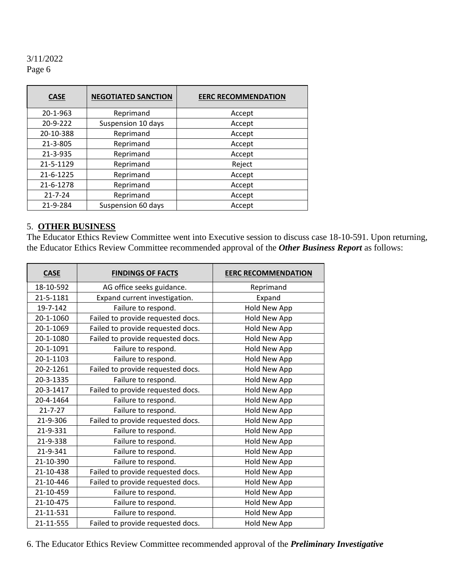| <b>CASE</b>           | <b>NEGOTIATED SANCTION</b> | <b>EERC RECOMMENDATION</b> |  |  |
|-----------------------|----------------------------|----------------------------|--|--|
| 20-1-963              | Reprimand                  | Accept                     |  |  |
| 20-9-222              | Suspension 10 days         | Accept                     |  |  |
| 20-10-388             | Reprimand                  | Accept                     |  |  |
| 21-3-805<br>Reprimand |                            | Accept                     |  |  |
| 21-3-935<br>Reprimand |                            | Accept                     |  |  |
| 21-5-1129             | Reprimand                  | Reject                     |  |  |
| 21-6-1225             | Reprimand                  | Accept                     |  |  |
| 21-6-1278             | Reprimand                  | Accept                     |  |  |
| $21 - 7 - 24$         | Reprimand                  | Accept                     |  |  |
| 21-9-284              | Suspension 60 days         | Accept                     |  |  |

## 5. **OTHER BUSINESS**

The Educator Ethics Review Committee went into Executive session to discuss case 18-10-591. Upon returning, the Educator Ethics Review Committee recommended approval of the *Other Business Report* as follows:

| <b>CASE</b>   | <b>FINDINGS OF FACTS</b>          | <b>EERC RECOMMENDATION</b> |
|---------------|-----------------------------------|----------------------------|
| 18-10-592     | AG office seeks guidance.         | Reprimand                  |
| 21-5-1181     | Expand current investigation.     | Expand                     |
| 19-7-142      | Failure to respond.               | Hold New App               |
| 20-1-1060     | Failed to provide requested docs. | Hold New App               |
| 20-1-1069     | Failed to provide requested docs. | Hold New App               |
| 20-1-1080     | Failed to provide requested docs. | Hold New App               |
| 20-1-1091     | Failure to respond.               | Hold New App               |
| 20-1-1103     | Failure to respond.               | Hold New App               |
| 20-2-1261     | Failed to provide requested docs. | Hold New App               |
| 20-3-1335     | Failure to respond.               | Hold New App               |
| 20-3-1417     | Failed to provide requested docs. | Hold New App               |
| 20-4-1464     | Failure to respond.               | Hold New App               |
| $21 - 7 - 27$ | Failure to respond.               | Hold New App               |
| 21-9-306      | Failed to provide requested docs. | Hold New App               |
| 21-9-331      | Failure to respond.               | Hold New App               |
| 21-9-338      | Failure to respond.               | Hold New App               |
| 21-9-341      | Failure to respond.               | Hold New App               |
| 21-10-390     | Failure to respond.               | <b>Hold New App</b>        |
| 21-10-438     | Failed to provide requested docs. | Hold New App               |
| 21-10-446     | Failed to provide requested docs. | Hold New App               |
| 21-10-459     | Failure to respond.               | Hold New App               |
| 21-10-475     | Failure to respond.               | Hold New App               |
| 21-11-531     | Failure to respond.               | Hold New App               |
| 21-11-555     | Failed to provide requested docs. | Hold New App               |

6. The Educator Ethics Review Committee recommended approval of the *Preliminary Investigative*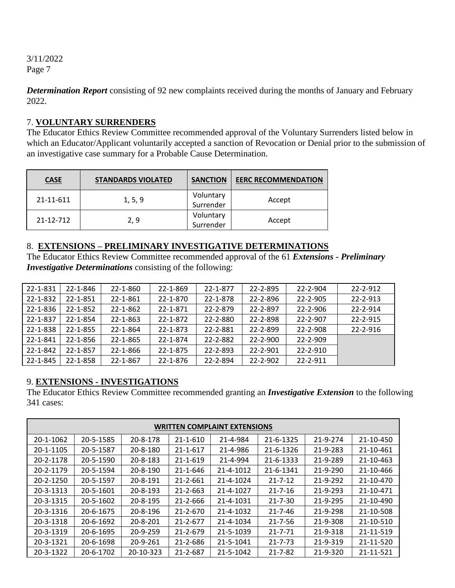*Determination Report* consisting of 92 new complaints received during the months of January and February 2022.

### 7. **VOLUNTARY SURRENDERS**

The Educator Ethics Review Committee recommended approval of the Voluntary Surrenders listed below in which an Educator/Applicant voluntarily accepted a sanction of Revocation or Denial prior to the submission of an investigative case summary for a Probable Cause Determination.

| <b>CASE</b> | <b>STANDARDS VIOLATED</b> |                        | <b>EERC RECOMMENDATION</b> |
|-------------|---------------------------|------------------------|----------------------------|
| 21-11-611   | 1, 5, 9                   | Voluntary<br>Surrender | Accept                     |
| 21-12-712   | 2.9                       |                        | Accept                     |

### 8. **EXTENSIONS – PRELIMINARY INVESTIGATIVE DETERMINATIONS**

The Educator Ethics Review Committee recommended approval of the 61 *Extensions - Preliminary Investigative Determinations* consisting of the following:

| 22-1-831 | 22-1-846       | 22-1-860 | 22-1-869 | 22-1-877 | 22-2-895       | 22-2-904       | 22-2-912       |
|----------|----------------|----------|----------|----------|----------------|----------------|----------------|
| 22-1-832 | 22-1-851       | 22-1-861 | 22-1-870 | 22-1-878 | 22-2-896       | 22-2-905       | $22 - 2 - 913$ |
| 22-1-836 | $22 - 1 - 852$ | 22-1-862 | 22-1-871 | 22-2-879 | 22-2-897       | 22-2-906       | 22-2-914       |
| 22-1-837 | 22-1-854       | 22-1-863 | 22-1-872 | 22-2-880 | 22-2-898       | 22-2-907       | 22-2-915       |
| 22-1-838 | $22 - 1 - 855$ | 22-1-864 | 22-1-873 | 22-2-881 | 22-2-899       | 22-2-908       | $22 - 2 - 916$ |
| 22-1-841 | $22 - 1 - 856$ | 22-1-865 | 22-1-874 | 22-2-882 | $22 - 2 - 900$ | $22 - 2 - 909$ |                |
| 22-1-842 | 22-1-857       | 22-1-866 | 22-1-875 | 22-2-893 | 22-2-901       | 22-2-910       |                |
| 22-1-845 | 22-1-858       | 22-1-867 | 22-1-876 | 22-2-894 | $22 - 2 - 902$ | $22 - 2 - 911$ |                |

# 9. **EXTENSIONS - INVESTIGATIONS**

The Educator Ethics Review Committee recommended granting an *Investigative Extension* to the following 341 cases:

| <b>WRITTEN COMPLAINT EXTENSIONS</b> |           |                |                |           |               |          |           |
|-------------------------------------|-----------|----------------|----------------|-----------|---------------|----------|-----------|
| 20-1-1062                           | 20-5-1585 | 20-8-178       | $21 - 1 - 610$ | 21-4-984  | 21-6-1325     | 21-9-274 | 21-10-450 |
| 20-1-1105                           | 20-5-1587 | 20-8-180       | 21-1-617       | 21-4-986  | 21-6-1326     | 21-9-283 | 21-10-461 |
| 20-2-1178                           | 20-5-1590 | 20-8-183       | $21 - 1 - 619$ | 21-4-994  | 21-6-1333     | 21-9-289 | 21-10-463 |
| 20-2-1179                           | 20-5-1594 | $20 - 8 - 190$ | 21-1-646       | 21-4-1012 | 21-6-1341     | 21-9-290 | 21-10-466 |
| 20-2-1250                           | 20-5-1597 | 20-8-191       | 21-2-661       | 21-4-1024 | $21 - 7 - 12$ | 21-9-292 | 21-10-470 |
| 20-3-1313                           | 20-5-1601 | 20-8-193       | $21 - 2 - 663$ | 21-4-1027 | $21 - 7 - 16$ | 21-9-293 | 21-10-471 |
| 20-3-1315                           | 20-5-1602 | 20-8-195       | 21-2-666       | 21-4-1031 | $21 - 7 - 30$ | 21-9-295 | 21-10-490 |
| 20-3-1316                           | 20-6-1675 | 20-8-196       | 21-2-670       | 21-4-1032 | $21 - 7 - 46$ | 21-9-298 | 21-10-508 |
| 20-3-1318                           | 20-6-1692 | 20-8-201       | 21-2-677       | 21-4-1034 | $21 - 7 - 56$ | 21-9-308 | 21-10-510 |
| 20-3-1319                           | 20-6-1695 | $20 - 9 - 259$ | $21 - 2 - 679$ | 21-5-1039 | $21 - 7 - 71$ | 21-9-318 | 21-11-519 |
| 20-3-1321                           | 20-6-1698 | 20-9-261       | 21-2-686       | 21-5-1041 | $21 - 7 - 73$ | 21-9-319 | 21-11-520 |
| 20-3-1322                           | 20-6-1702 | 20-10-323      | 21-2-687       | 21-5-1042 | $21 - 7 - 82$ | 21-9-320 | 21-11-521 |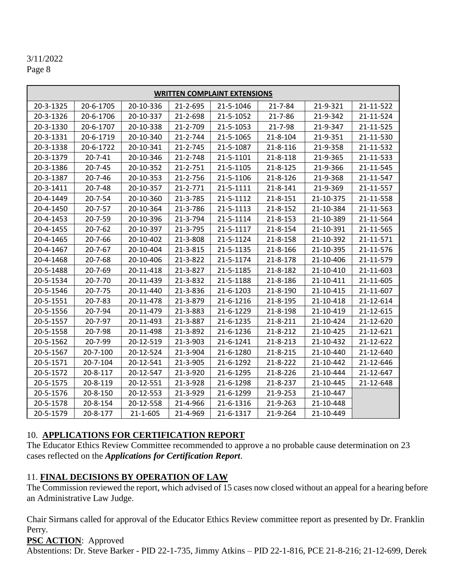# 3/11/2022

Page 8

| <b>WRITTEN COMPLAINT EXTENSIONS</b> |               |           |                |           |                |           |           |
|-------------------------------------|---------------|-----------|----------------|-----------|----------------|-----------|-----------|
| 20-3-1325                           | 20-6-1705     | 20-10-336 | 21-2-695       | 21-5-1046 | $21 - 7 - 84$  | 21-9-321  | 21-11-522 |
| 20-3-1326                           | 20-6-1706     | 20-10-337 | 21-2-698       | 21-5-1052 | $21 - 7 - 86$  | 21-9-342  | 21-11-524 |
| 20-3-1330                           | 20-6-1707     | 20-10-338 | 21-2-709       | 21-5-1053 | 21-7-98        | 21-9-347  | 21-11-525 |
| 20-3-1331                           | 20-6-1719     | 20-10-340 | 21-2-744       | 21-5-1065 | 21-8-104       | 21-9-351  | 21-11-530 |
| 20-3-1338                           | 20-6-1722     | 20-10-341 | 21-2-745       | 21-5-1087 | $21 - 8 - 116$ | 21-9-358  | 21-11-532 |
| 20-3-1379                           | $20 - 7 - 41$ | 20-10-346 | 21-2-748       | 21-5-1101 | 21-8-118       | 21-9-365  | 21-11-533 |
| 20-3-1386                           | $20 - 7 - 45$ | 20-10-352 | 21-2-751       | 21-5-1105 | $21 - 8 - 125$ | 21-9-366  | 21-11-545 |
| 20-3-1387                           | 20-7-46       | 20-10-353 | 21-2-756       | 21-5-1106 | 21-8-126       | 21-9-368  | 21-11-547 |
| 20-3-1411                           | $20 - 7 - 48$ | 20-10-357 | $21 - 2 - 771$ | 21-5-1111 | $21 - 8 - 141$ | 21-9-369  | 21-11-557 |
| 20-4-1449                           | 20-7-54       | 20-10-360 | 21-3-785       | 21-5-1112 | $21 - 8 - 151$ | 21-10-375 | 21-11-558 |
| 20-4-1450                           | $20 - 7 - 57$ | 20-10-364 | 21-3-786       | 21-5-1113 | 21-8-152       | 21-10-384 | 21-11-563 |
| 20-4-1453                           | $20 - 7 - 59$ | 20-10-396 | 21-3-794       | 21-5-1114 | 21-8-153       | 21-10-389 | 21-11-564 |
| 20-4-1455                           | $20 - 7 - 62$ | 20-10-397 | 21-3-795       | 21-5-1117 | $21 - 8 - 154$ | 21-10-391 | 21-11-565 |
| 20-4-1465                           | 20-7-66       | 20-10-402 | 21-3-808       | 21-5-1124 | 21-8-158       | 21-10-392 | 21-11-571 |
| 20-4-1467                           | $20 - 7 - 67$ | 20-10-404 | 21-3-815       | 21-5-1135 | 21-8-166       | 21-10-395 | 21-11-576 |
| 20-4-1468                           | 20-7-68       | 20-10-406 | 21-3-822       | 21-5-1174 | 21-8-178       | 21-10-406 | 21-11-579 |
| 20-5-1488                           | 20-7-69       | 20-11-418 | 21-3-827       | 21-5-1185 | 21-8-182       | 21-10-410 | 21-11-603 |
| 20-5-1534                           | $20 - 7 - 70$ | 20-11-439 | 21-3-832       | 21-5-1188 | 21-8-186       | 21-10-411 | 21-11-605 |
| 20-5-1546                           | $20 - 7 - 75$ | 20-11-440 | 21-3-836       | 21-6-1203 | 21-8-190       | 21-10-415 | 21-11-607 |
| 20-5-1551                           | $20 - 7 - 83$ | 20-11-478 | 21-3-879       | 21-6-1216 | 21-8-195       | 21-10-418 | 21-12-614 |
| 20-5-1556                           | 20-7-94       | 20-11-479 | 21-3-883       | 21-6-1229 | 21-8-198       | 21-10-419 | 21-12-615 |
| 20-5-1557                           | 20-7-97       | 20-11-493 | 21-3-887       | 21-6-1235 | $21 - 8 - 211$ | 21-10-424 | 21-12-620 |
| 20-5-1558                           | 20-7-98       | 20-11-498 | 21-3-892       | 21-6-1236 | $21 - 8 - 212$ | 21-10-425 | 21-12-621 |
| 20-5-1562                           | 20-7-99       | 20-12-519 | 21-3-903       | 21-6-1241 | 21-8-213       | 21-10-432 | 21-12-622 |
| 20-5-1567                           | 20-7-100      | 20-12-524 | 21-3-904       | 21-6-1280 | 21-8-215       | 21-10-440 | 21-12-640 |
| 20-5-1571                           | 20-7-104      | 20-12-541 | 21-3-905       | 21-6-1292 | 21-8-222       | 21-10-442 | 21-12-646 |
| 20-5-1572                           | 20-8-117      | 20-12-547 | 21-3-920       | 21-6-1295 | 21-8-226       | 21-10-444 | 21-12-647 |
| 20-5-1575                           | 20-8-119      | 20-12-551 | 21-3-928       | 21-6-1298 | 21-8-237       | 21-10-445 | 21-12-648 |
| 20-5-1576                           | 20-8-150      | 20-12-553 | 21-3-929       | 21-6-1299 | 21-9-253       | 21-10-447 |           |
| 20-5-1578                           | 20-8-154      | 20-12-558 | 21-4-966       | 21-6-1316 | 21-9-263       | 21-10-448 |           |
| 20-5-1579                           | 20-8-177      | 21-1-605  | 21-4-969       | 21-6-1317 | 21-9-264       | 21-10-449 |           |

# 10. **APPLICATIONS FOR CERTIFICATION REPORT**

The Educator Ethics Review Committee recommended to approve a no probable cause determination on 23 cases reflected on the *Applications for Certification Report*.

# 11. **FINAL DECISIONS BY OPERATION OF LAW**

The Commission reviewed the report, which advised of 15 cases now closed without an appeal for a hearing before an Administrative Law Judge.

Chair Sirmans called for approval of the Educator Ethics Review committee report as presented by Dr. Franklin Perry.

# **PSC ACTION**: Approved

Abstentions: Dr. Steve Barker - PID 22-1-735, Jimmy Atkins – PID 22-1-816, PCE 21-8-216; 21-12-699, Derek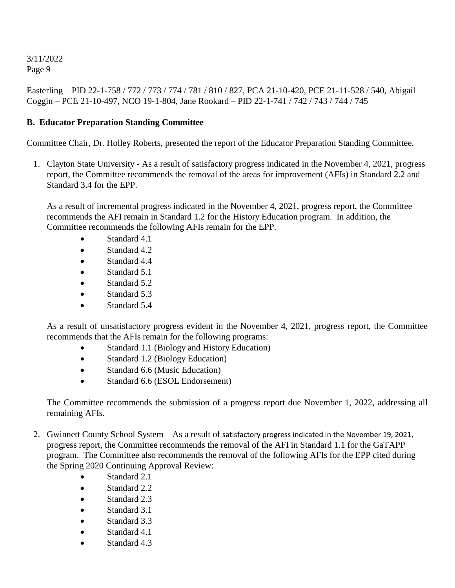Easterling – PID 22-1-758 / 772 / 773 / 774 / 781 / 810 / 827, PCA 21-10-420, PCE 21-11-528 / 540, Abigail Coggin – PCE 21-10-497, NCO 19-1-804, Jane Rookard – PID 22-1-741 / 742 / 743 / 744 / 745

# **B. Educator Preparation Standing Committee**

Committee Chair, Dr. Holley Roberts, presented the report of the Educator Preparation Standing Committee.

1. Clayton State University - As a result of satisfactory progress indicated in the November 4, 2021, progress report, the Committee recommends the removal of the areas for improvement (AFIs) in Standard 2.2 and Standard 3.4 for the EPP.

As a result of incremental progress indicated in the November 4, 2021, progress report, the Committee recommends the AFI remain in Standard 1.2 for the History Education program. In addition, the Committee recommends the following AFIs remain for the EPP.

- Standard 4.1
- Standard 4.2
- Standard 4.4
- Standard 5.1
- Standard 5.2
- Standard 5.3
- Standard 5.4

As a result of unsatisfactory progress evident in the November 4, 2021, progress report, the Committee recommends that the AFIs remain for the following programs:

- Standard 1.1 (Biology and History Education)
- Standard 1.2 (Biology Education)
- Standard 6.6 (Music Education)
- Standard 6.6 (ESOL Endorsement)

The Committee recommends the submission of a progress report due November 1, 2022, addressing all remaining AFIs.

- 2. Gwinnett County School System As a result of satisfactory progress indicated in the November 19, 2021, progress report, the Committee recommends the removal of the AFI in Standard 1.1 for the GaTAPP program. The Committee also recommends the removal of the following AFIs for the EPP cited during the Spring 2020 Continuing Approval Review:
	- Standard 2.1
	- Standard 2.2
	- Standard 2.3
	- Standard 3.1
	- Standard 3.3
	- Standard 4.1
	- Standard 4.3